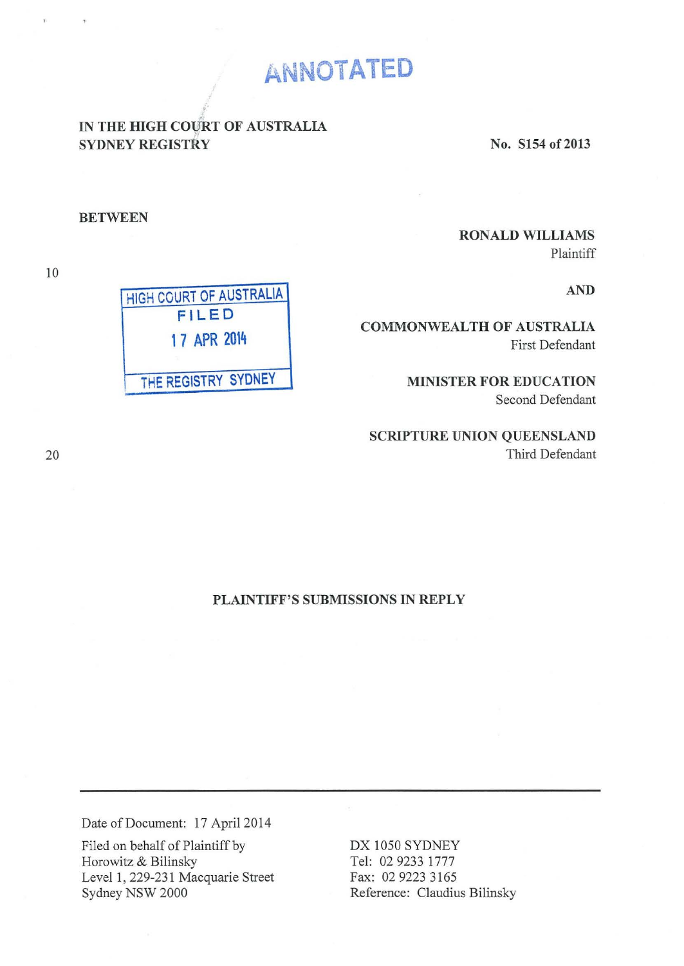# ANNOTATED

# IN THE HIGH COURT OF AUSTRALIA SYDNEY REGISTRY

No. S154 of 2013

#### BETWEEN

10

20

# HIGH COURT OF AUSTRALIA FILED 1 7 APR 2014 THE REGISTRY SYDNEY

#### RONALD WILLIAMS

Plaintiff

#### AND

#### COMMONWEALTH OF AUSTRALIA First Defendant

MINISTER FOR EDUCATION Second Defendant

### SCRIPTURE UNION QUEENSLAND Third Defendant

#### PLAINTIFF'S SUBMISSIONS IN REPLY

Date of Document: 17 April 2014

Filed on behalf of Plaintiff by Horowitz & Bilinsky Level 1, 229-231 Macquarie Street Sydney NSW 2000

DX 1050 SYDNEY Tel: 02 9233 1777 Fax: 02 9223 3165 Reference: Claudius Bilinsky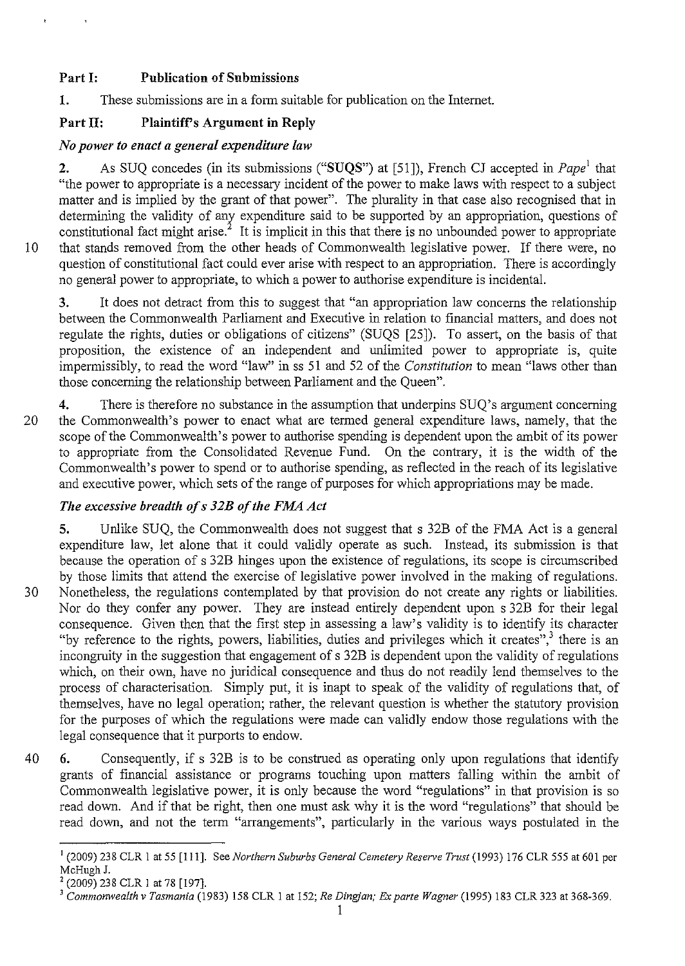## Part I: Publication of Submissions

I. These submissions are in a form suitable for publication on the Internet.

# Part II: Plaintiff's Argument in Reply

## *No power to enact a general expenditure law*

2. As SUQ concedes (in its submissions ("SUQS") at [51]), French CJ accepted in *Pape*<sup>1</sup> that "the power to appropriate is a necessary incident of the power to make laws with respect to a subject matter and is implied by the grant of that power". The plurality in that case also recognised that in determining the validity of any expenditure said to be supported by an appropriation, questions of constitutional fact might arise.<sup>2</sup> It is implicit in this that there is no unbounded power to appropriate 10 that stands removed from the other heads of Commonwealth legislative power. If there were, no question of constitutional fact could ever arise with respect to an appropriation. There is accordingly no general power to appropriate, to which a power to authorise expenditure is incidental.

3. It does not detract from this to suggest that "an appropriation law concerns the relationship between the Commonwealth Parliament and Executive in relation to financial matters, and does not regulate the rights, duties or obligations of citizens" (SUQS [25]). To assert, on the basis of that proposition, the existence of an independent and unlimited power to appropriate is, quite impermissibly, to read the word "law" in ss 51 and 52 of the *Constitution* to mean "laws other than those concerning the relationship between Parliament and the Queen".

4. There is therefore no substance in the assumption that underpins SUQ's argument concerning 20 the Commonwealth's power to enact what are termed general expenditure laws, namely, that the scope of the Commonwealth's power to authorise spending is dependent upon the ambit of its power to appropriate from the Consolidated Revenue Fund. On the contrary, it is the width of the Commonwealth's power to spend or to authorise spending, as reflected in the reach of its legislative and executive power, which sets of the range of purposes for which appropriations may be made.

# *The excessive breadth ofs 32B of the FMA Act*

5. Unlike SUQ, the Commonwealth does not suggest that s 32B of the FMA Act is a general expenditure law, let alone that it could validly operate as such. Instead, its submission is that because the operation of s 32B hinges upon the existence of regulations, its scope is circumscribed by those limits that attend the exercise of legislative power involved in the making of regulations. 3 0 Nonetheless, the regulations contemplated by that provision do not create any rights or liabilities. Nor do they confer any power. They are instead entirely dependent upon s 32B for their legal consequence. Given then that the first step in assessing a law's validity is to identify its character "by reference to the rights, powers, liabilities, duties and privileges which it creates", $3$  there is an incongruity in the suggestion that engagement of s 32B is dependent upon the validity of regulations which, on their own, have no juridical consequence and thus do not readily lend themselves to the process of characterisation. Simply put, it is inapt to speak of the validity of regulations that, of themselves, have no legal operation; rather, the relevant question is whether the statutory provision for the purposes of which the regulations were made can validly endow those regulations with the legal consequence that it purports to endow.

40 6. Consequently, if s 32B is to be construed as operating only upon regulations that identify grants of financial assistance or programs touching upon matters falling within the ambit of Commonwealth legislative power, it is only because the word "regulations" in that provision is so read down. And if that be right, then one must ask why it is the word "regulations" that should be read down, and not the term "arrangements", particularly in the various ways postulated in the

<sup>1 (2009) 238</sup> CLR I at 55 [Ill]. See *Northern Suburbs General Cemetery Reserve Trust* (1993) 176 CLR 555 at 601 per McHugh J.<br><sup>2</sup> (2009) 238 CLR 1 at 78 [197].

<sup>&</sup>lt;sup>3</sup> Commonwealth v Tasmania (1983) 158 CLR 1 at 152; Re Dingjan; *Ex parte Wagner* (1995) 183 CLR 323 at 368-369.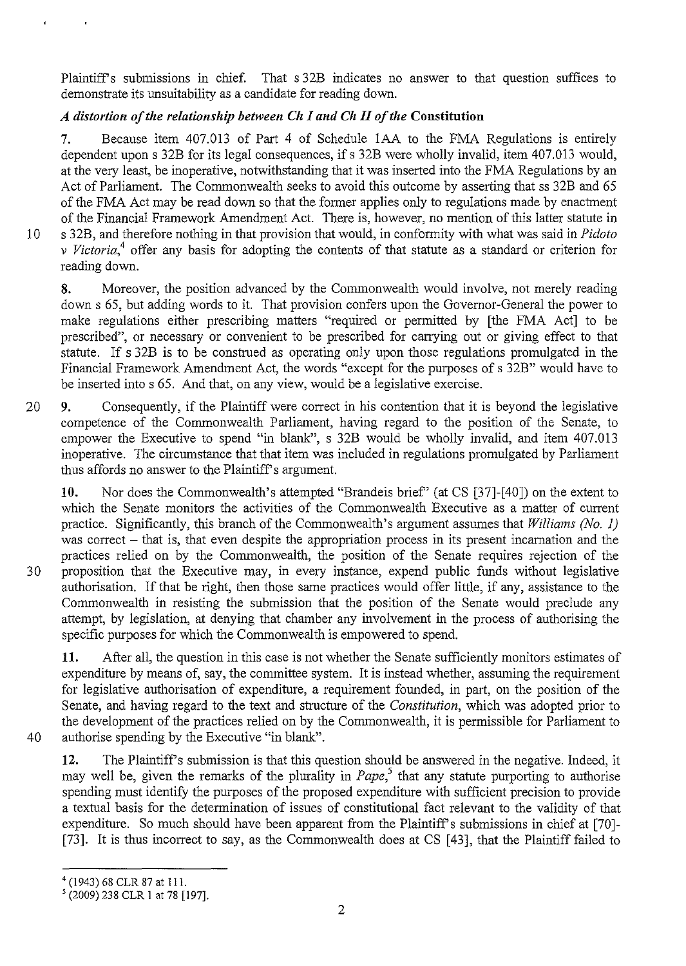Plaintiff's submissions in chief. That s 32B indicates no answer to that question suffices to demonstrate its unsuitability as a candidate for reading down.

# *A distortion oftlze relationship between Clz I and Clz II oftlze* **Constitution**

7. Because item 407.013 of Part 4 of Schedule lAA to the FMA Regulations is entirely dependent upon s 32B for its legal consequences, if s 32B were wholly invalid, item 407.013 would, at the very least, be inoperative, notwithstanding that it was inserted into the FMA Regulations by an Act of Parliament. The Commonwealth seeks to avoid this outcome by asserting that ss 32B and 65 of the FMA Act may be read down so that the former applies only to regulations made by enactment of the Financial Framework Amendment Act. There is, however, no mention of this latter statute in 10 s 32B, and therefore nothing in that provision that would, in conformity with what was said in *Pidoto v Victoria,*<sup>4</sup>offer any basis for adopting the contents of that statute as a standard or criterion for reading down.

8. Moreover, the position advanced by the Commonwealth would involve, not merely reading down s 65, but adding words to it. That provision confers upon the Governor-General the power to make regulations either prescribing matters "required or permitted by [the FMA Act] to be prescribed", or necessary or convenient to be prescribed for carrying out or giving effect to that statute. If s 32B is to be construed as operating only upon those regulations promulgated in the Financial Framework Amendment Act, the words "except for the purposes of s 32B" would have to be inserted into s 65. And that, on any view, would be a legislative exercise.

20 9. Consequently, if the Plaintiff were correct in his contention that it is beyond the legislative competence of the Commonwealth Parliament, having regard to the position of the Senate, to empower the Executive to spend "in blank", s 32B would be wholly invalid, and item 407.013 inoperative. The circumstance that that item was included in regulations promulgated by Parliament thus affords no answer to the Plaintiff's argument.

**10.** Nor does the Commonwealth's attempted "Brandeis brief' (at CS [37]-[40]) on the extent to which the Senate monitors the activities of the Commonwealth Executive as a matter of current practice. Significantly, this branch of the Commonwealth's argument assumes that *Williams (No. I)*  was correct – that is, that even despite the appropriation process in its present incarnation and the practices relied on by the Commonwealth, the position of the Senate requires rejection of the 30 proposition that the Executive may, in every instance, expend public funds without legislative authorisation. If that be right, then those same practices would offer little, if any, assistance to the Commonwealth in resisting the submission that the position of the Senate would preclude any attempt, by legislation, at denying that chamber any involvement in the process of authorising the specific purposes for which the Commonwealth is empowered to spend.

**11.** After all, the question in this case is not whether the Senate sufficiently monitors estimates of expenditure by means of, say, the committee system. It is instead whether, assuming the requirement for legislative authorisation of expenditure, a requirement founded, in part, on the position of the Senate, and having regard to the text and structure of the *Constitution,* which was adopted prior to the development of the practices relied on by the Commonwealth, it is permissible for Parliament to 40 authorise spending by the Executive "in blank".

12. The Plaintiff's submission is that this question should be answered in the negative. Indeed, it may well be, given the remarks of the plurality in *Pape,<sup>5</sup>*that any statute purporting to authorise spending must identify the purposes of the proposed expenditure with sufficient precision to provide a textual basis for the determination of issues of constitutional fact relevant to the validity of that expenditure. So much should have been apparent from the Plaintiff's submissions in chief at [70]- [73]. It is thus incorrect to say, as the Commonwealth does at CS [43], that the Plaintiff failed to

<sup>4 (1943) 68</sup> CLR 87 at Ill. *<sup>5</sup>*(2009) 238 CLR I at 78 [197].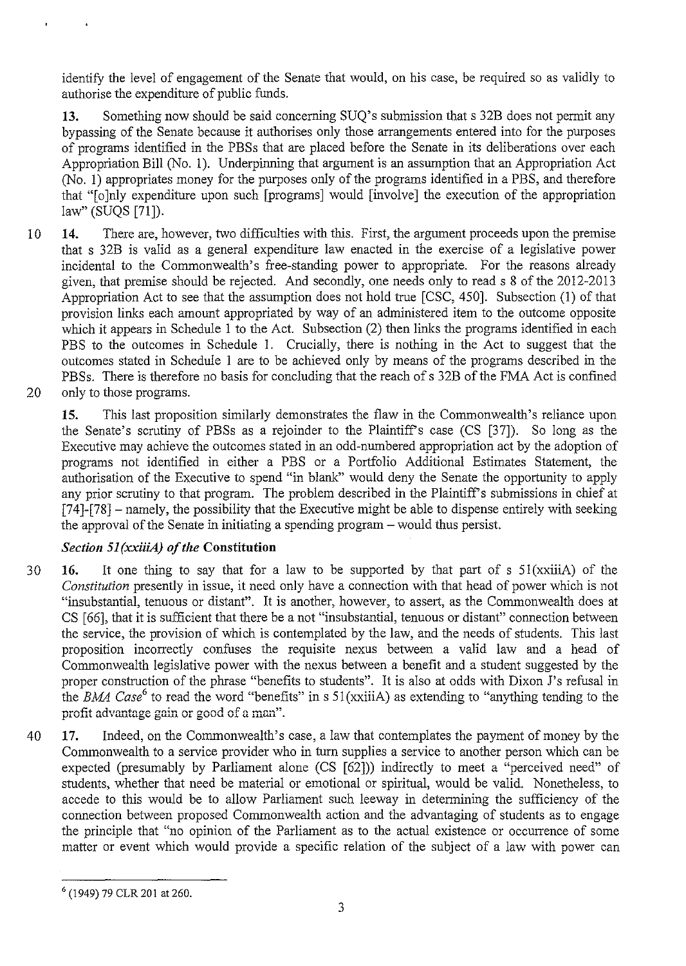identify the level of engagement of the Senate that would, on his case, be required so as validly to authorise the expenditure of public funds.

**13.** Something now should be said concerning SUQ's submission that s 32B does not permit any bypassing of the Senate because it authorises only those arrangements entered into for the purposes of programs identified in the PBSs that are placed before the Senate in its deliberations over each Appropriation Bill (No. 1). Underpinning that argument is an assumption that an Appropriation Act (No. 1) appropriates money for the purposes only of the programs identified in a PBS, and therefore that "[o]nly expenditure upon such [programs] would [involve] the execution of the appropriation law" (SUQS [71]).

- 10 **14.** There are, however, two difficulties with this. First, the argument proceeds upon the premise that s 32B is valid as a general expenditure law enacted in the exercise of a legislative power incidental to the Commonwealth's free-standing power to appropriate. For the reasons already given, that premise should be rejected. And secondly, one needs only to reads 8 of the 2012-2013 Appropriation Act to see that the assumption does not hold true [CSC, 450]. Subsection (1) of that provision links each amount appropriated by way of an administered item to the outcome opposite which it appears in Schedule 1 to the Act. Subsection (2) then links the programs identified in each PBS to the outcomes in Schedule I. Crucially, there is nothing in the Act to suggest that the outcomes stated in Schedule I are to be achieved only by means of the programs described in the PBSs. There is therefore no basis for concluding that the reach of s 32B of the FMA Act is confined 20 only to those programs.
	- **15.** This last proposition similarly demonstrates the flaw in the Commonwealth's reliance upon the Senate's scrutiny of PBSs as a rejoinder to the Plaintiffs case (CS [37]). So long as the Executive may achieve the outcomes stated in an odd-numbered appropriation act by the adoption of programs not identified in either a PBS or a Portfolio Additional Estimates Statement, the authorisation of the Executive to spend "in blank" would deny the Senate the opportunity to apply any prior scrutiny to that program. The problem described in the Plaintiff's submissions in chief at [74]-[78] – namely, the possibility that the Executive might be able to dispense entirely with seeking the approval of the Senate in initiating a spending program - would thus persist.

# *Section 51 (xxiiiA) of the Constitution*

- 30 16. It one thing to say that for a law to be supported by that part of s Sl(xxiiiA) of the *Constitution* presently in issue, it need only have a connection with that head of power which is not "insubstantial, tenuous or distant". It is another, however, to assert, as the Commonwealth does at CS [66], that it is sufficient that there be a not "insubstantial, tenuous or distant" connection between the service, the provision of which is contemplated by the law, and the needs of students. This last proposition incorrectly confuses the requisite nexus between a valid law and a head of Commonwealth legislative power with the nexus between a benefit and a student suggested by the proper construction of the phrase "benefits to students". It is also at odds with Dixon J's refusal in the BMA *Case<sup>6</sup>*to read the word "benefits" in s 51 (xxiiiA) as extending to "anything tending to the profit advantage gain or good of a man".
- 40 **17.** Indeed, on the Commonwealth's case, a law that contemplates the payment of money by the Commonwealth to a service provider who in turn supplies a service to another person which can be expected (presumably by Parliament alone (CS [62])) indirectly to meet a "perceived need" of students, whether that need be material or emotional or spiritual, would be valid. Nonetheless, to accede to this would be to allow Parliament such leeway in determining the sufficiency of the connection between proposed Commonwealth action and the advantaging of students as to engage the principle that "no opinion of the Parliament as to the actual existence or occurrence of some matter or event which would provide a specific relation of the subject of a law with power can

 $6$  (1949) 79 CLR 201 at 260.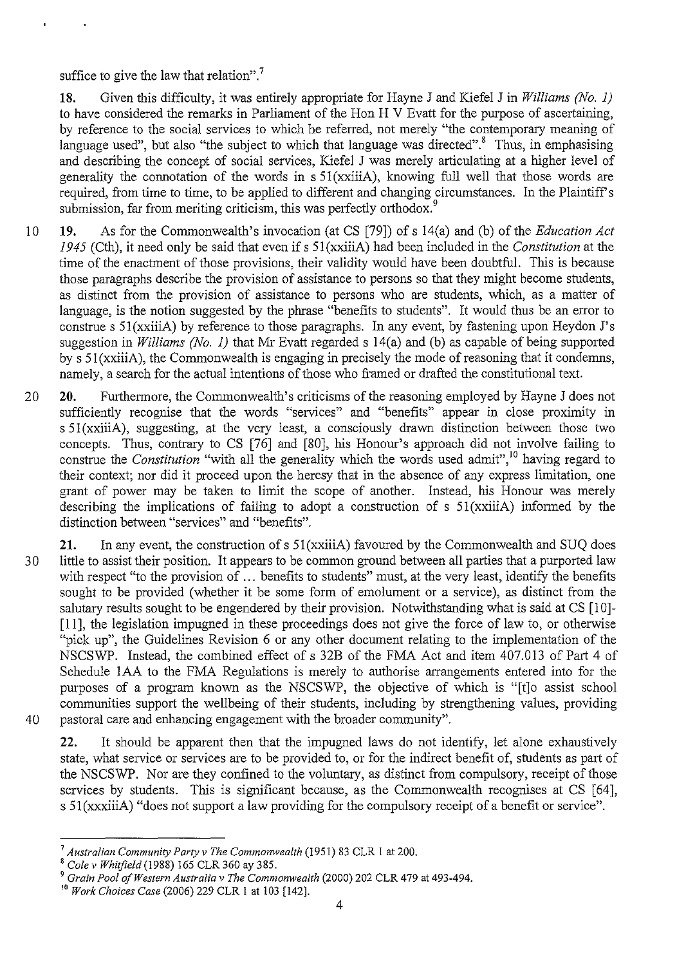suffice to give the law that relation".<sup>7</sup>

**18.** Given this difficulty, it was entirely appropriate for Hayne J and Kiefel J in *Williams (No. 1)*  to have considered the remarks in Parliament of the Hon H V Evatt for the purpose of ascertaining, by reference to the social services to which he referred, not merely "the contemporary meaning of language used", but also "the subject to which that language was directed". $8$  Thus, in emphasising and describing the concept of social services, Kiefel J was merely articulating at a higher level of generality the connotation of the words in s 51(xxiiiA), knowing full well that those words are required, from time to time, to be applied to different and changing circumstances. In the Plaintiff's submission, far from meriting criticism, this was perfectly orthodox.<sup>9</sup>

- 10 **19.** As for the Commonwealth's invocation (at CS [79]) of s 14(a) and (b) of the *Education Act 1945* (Cth), it need only be said that even if s 51 (xxiiiA) had been included in the *Constitution* at the time of the enactment of those provisions, their validity would have been doubtful. This is because those paragraphs describe the provision of assistance to persons so that they might become students, as distinct from the provision of assistance to persons who are students, which, as a matter of language, is the notion suggested by the phrase "benefits to students". It would thus be an error to construe s 51(xxiiiA) by reference to those paragraphs. In any event, by fastening upon Heydon J's suggestion in *Williams (No. 1)* that Mr Evatt regarded s 14(a) and (b) as capable of being supported by s 51 (xxiiiA), the Commonwealth is engaging in precisely the mode of reasoning that it condemns, namely, a search for the actual intentions of those who framed or drafted the constitutional text.
- 20 **20.** Furthermore, the Commonwealth's criticisms of the reasoning employed by Hayne J does not sufficiently recognise that the words "services" and "benefits" appear in close proximity in s 51(xxiiiA), suggesting, at the very least, a consciously drawn distinction between those two concepts. Thus, contrary to CS [76] and [80], his Honour's approach did not involve failing to construe the *Constitution* "with all the generality which the words used admit", 10 having regard to their context; nor did it proceed upon the heresy that in the absence of any express limitation, one grant of power may be taken to limit the scope of another. Instead, his Honour was merely describing the implications of failing to adopt a construction of  $s$  51( $xxi$ iiA) informed by the distinction between "services" and "benefits".
- 21. In any event, the construction of s 51(xxiiiA) favoured by the Commonwealth and SUQ does 30 little to assist their position. It appears to be common ground between all parties that a purported law with respect "to the provision of ... benefits to students" must, at the very least, identify the benefits sought to be provided (whether it be some form of emolument or a service), as distinct from the salutary results sought to be engendered by their provision. Notwithstanding what is said at CS [10]- [11], the legislation impugned in these proceedings does not give the force of law to, or otherwise "pick up", the Guidelines Revision 6 or any other document relating to the implementation of the NSCSWP. Instead, the combined effect of s 32B of the FMA Act and item 407.013 of Part 4 of Schedule 1 AA to the FMA Regulations is merely to authorise arrangements entered into for the purposes of a program known as the NSCSWP, the objective of which is "[t]o assist school communities support the wellbeing of their students, including by strengthening values, providing 40 pastoral care and enhancing engagement with the broader community".
- 

22. It should be apparent then that the impugned laws do not identify, let alone exhaustively state, what service or services are to be provided to, or for the indirect benefit of, students as part of the NSCSWP. Nor are they confined to the voluntary, as distinct from compulsory, receipt of those services by students. This is significant because, as the Commonwealth recognises at CS [64], s 51(xxxiiiA) "does not support a law providing for the compulsory receipt of a benefit or service".

<sup>7</sup>*Australian Community Party v The Commonwealth* (1951) 83 CLR I at 200.

<sup>8</sup>*Cole v Whitfield* (1988) 165 CLR 360 ay 385.

<sup>9</sup>*Grain Pool of Western Australia v The Commonwealth* (2000) 202 CLR 479 at 493-494.

<sup>10</sup>*Work Choices Case* (2006) 229 CLR I at 103 [142].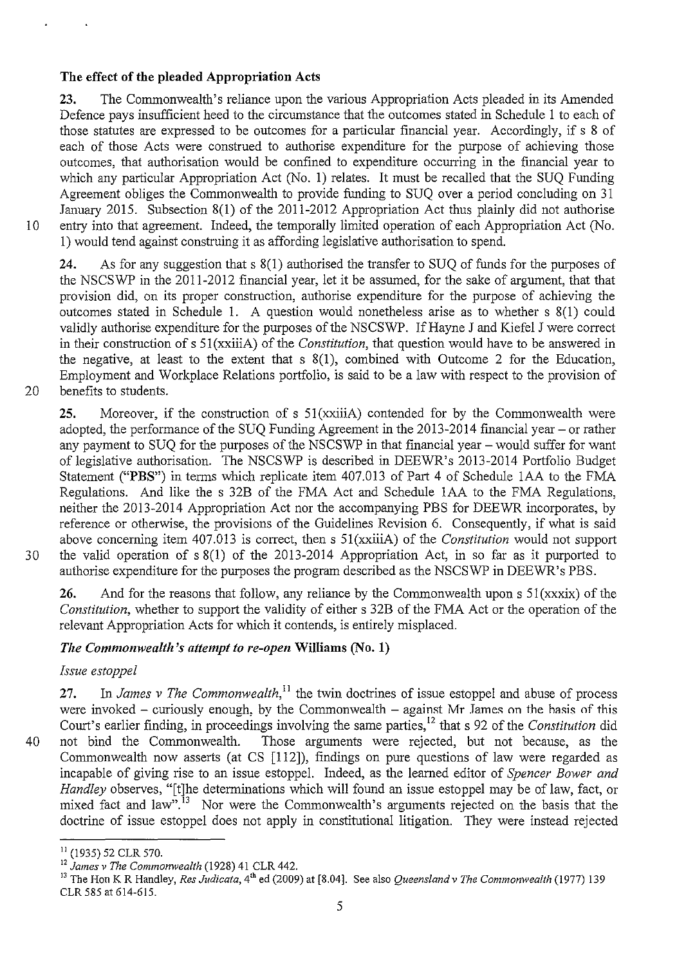## **The effect of the pleaded Appropriation Acts**

**23.** The Commonwealth's reliance upon the various Appropriation Acts pleaded in its Amended Defence pays insufficient heed to the circumstance that the outcomes stated in Schedule I to each of those statutes are expressed to be outcomes for a particular financial year. Accordingly, if s 8 of each of those Acts were construed to authorise expenditure for the purpose of achieving those outcomes, that authorisation would be confined to expenditure occurring in the financial year to which any particular Appropriation Act (No. **1)** relates. It must be recalled that the SUQ Funding Agreement obliges the Commonwealth to provide funding to SUQ over a period concluding on 31 January 2015. Subsection 8(1) of the 2011-2012 Appropriation Act thus plainly did not authorise 10 entry into that agreement. Indeed, the temporally limited operation of each Appropriation Act (No. 1) would tend against construing it as affording legislative authorisation to spend.

**24.** As for any suggestion that s 8(1) authorised the transfer to SUQ of funds for the purposes of the NSCSWP in the 2011-2012 financial year, let it be assumed, for the sake of argument, that that provision did, on its proper construction, authorise expenditure for the purpose of achieving the outcomes stated in Schedule 1. A question would nonetheless arise as to whether s 8(1) could validly authorise expenditure for the purposes of the NSCSWP. If Hayne J and Kiefel J were correct in their construction of s 51(xxiiiA) of the *Constitution*, that question would have to be answered in the negative, at least to the extent that  $s(1)$ , combined with Outcome 2 for the Education, Employment and Workplace Relations portfolio, is said to be a law with respect to the provision of 20 benefits to students.

**25.** Moreover, if the construction of s Sl(xxiiiA) contended for by the Commonwealth were adopted, the performance of the SUQ Funding Agreement in the 2013-2014 financial year- or rather any payment to SUQ for the purposes of the NSCSWP in that financial year- would suffer for want of legislative authorisation. The NSCSWP is described in DEEWR's 2013-2014 Portfolio Budget Statement **("PBS")** in terms which replicate item 407.013 of Part 4 of Schedule 1AA to the FMA Regulations. And like the s 32B of the FMA Act and Schedule 1AA to the FMA Regulations, neither the 2013-2014 Appropriation Act nor the accompanying PBS for DEEWR incorporates, by reference or otherwise, the provisions of the Guidelines Revision 6. Consequently, if what is said above concerning item 407.013 is correct, then s 51(xxiiiA) of the *Constitution* would not support 30 the valid operation of s 8(1) of the 2013-2014 Appropriation Act, in so far as it purported to authorise expenditure for the purposes the program described as the NSCSWP in DEEWR's PBS.

26. And for the reasons that follow, any reliance by the Commonwealth upon s 51(xxxix) of the *Constitution,* whether to support the validity of either s 32B of the FMA Act or the operation of the relevant Appropriation Acts for which it contends, is entirely misplaced.

## *The Commonwealth's attempt to re-open* **Williams (No. 1)**

## *Issue estoppel*

27. In *James v The Commonwealth*,<sup>11</sup> the twin doctrines of issue estoppel and abuse of process were invoked  $-$  curiously enough, by the Commonwealth  $-$  against Mr James on the hasis of this Court's earlier finding, in proceedings involving the same parties,<sup>12</sup> that s 92 of the *Constitution* did 40 not bind the Commonwealth. Those arguments were rejected, but not because, as the Commonwealth now asserts (at CS [112]), findings on pure questions of law were regarded as incapable of giving rise to an issue estoppel. Indeed, as the learned editor of *Spencer Bower and Handley* observes, "[t]he determinations which will found an issue estoppel may be of law, fact, or mixed fact and law".<sup>13</sup> Nor were the Commonwealth's arguments rejected on the basis that the doctrine of issue estoppel does not apply in constitutional litigation. They were instead rejected

 $\frac{11}{12}$  (1935) 52 CLR 570.<br> $\frac{12}{12}$  James v The Commonwealth (1928) 41 CLR 442.

<sup>&</sup>lt;sup>12</sup> James v The Commonwealth (1928) 41 CLR 442.<br><sup>13</sup> The Hon K R Handley, *Res Judicata*, 4<sup>th</sup> ed (2009) at [8.04]. See also *Queensland v The Commonwealth* (1977) 139 CLR 585 at 614-615.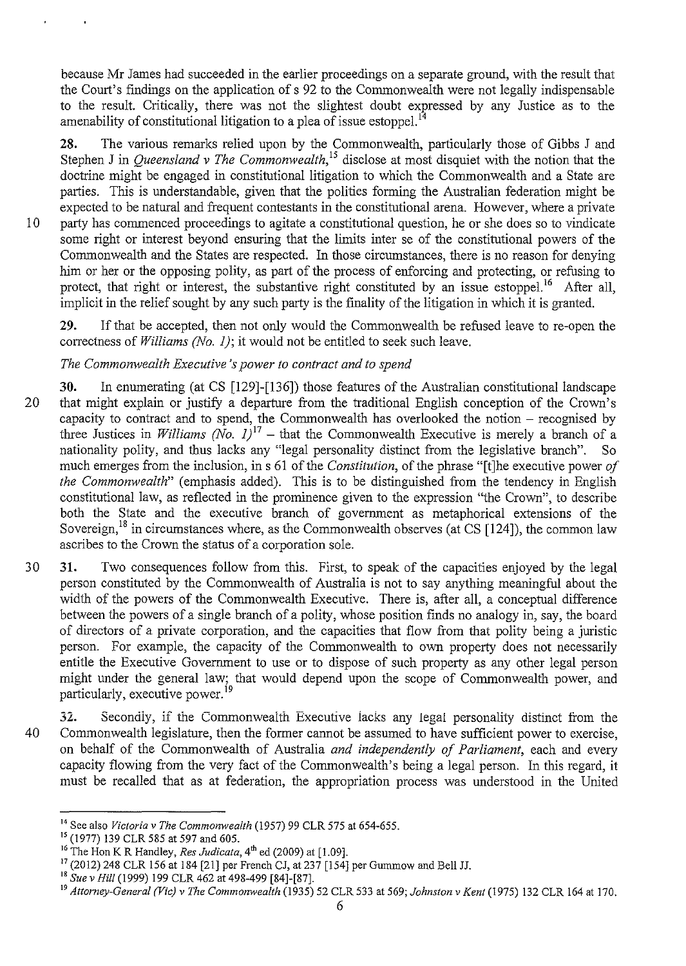because Mr James had succeeded in the earlier proceedings on a separate ground, with the result that the Court's findings on the application of s 92 to the Conunonwealth were not legally indispensable to the result. Critically, there was not the slightest doubt expressed by any Justice as to the amenability of constitutional litigation to a plea of issue estoppel.<sup>14</sup>

28. The various remarks relied upon by the Commonwealth, particularly those of Gibbs J and Stephen J in *Queensland v The Commonwealth,* 15 disclose at most disquiet with the notion that the doctrine might be engaged in constitutional litigation to which the Commonwealth and a State are parties. This is understandable, given that the polities forming the Australian federation might be expected to be natural and frequent contestants in the constitutional arena. However, where a private 1 0 party has conunenced proceedings to agitate a constitutional question, he or she does so to vindicate some right or interest beyond ensuring that the limits inter se of the constitutional powers of the Commonwealth and the States are respected. In those circumstances, there is no reason for denying him or her or the opposing polity, as part of the process of enforcing and protecting, or refusing to protect, that right or interest, the substantive right constituted by an issue estoppel.<sup>16</sup> After all, implicit in the relief sought by any such party is the finality of the litigation in which it is granted.

29. If that be accepted, then not only would the Commonwealth be refused leave to re-open the correctness of *Williams (No. 1);* it would not be entitled to seek such leave.

# *The Commonwealth Executive's power to contract and to spend*

- 30. In enumerating (at CS [129]-[136]) those features of the Australian constitutional landscape 20 that might explain or justify a departure from the traditional English conception of the Crown's capacity to contract and to spend, the Commonwealth has overlooked the notion - recognised by three Justices in *Williams (No. 1)*<sup>17</sup> – that the Commonwealth Executive is merely a branch of a nationality polity, and thus lacks any "legal personality distinct from the legislative branch". So much emerges from the inclusion, ins 61 of the *Constitution,* of the phrase "[t]he executive power *of the Commonwealth"* (emphasis added). This is to be distinguished from the tendency in English constitutional law, as reflected in the prominence given to the expression "the Crown", to describe both the State and the executive branch of government as metaphorical extensions of the Sovereign,  $^{18}$  in circumstances where, as the Commonwealth observes (at CS [124]), the common law ascribes to the Crown the status of a corporation sole.
- 30 31. Two consequences follow from this. First, to speak of the capacities enjoyed by the legal person constituted by the Conunonwealth of Australia is not to say anything meaningful about the width of the powers of the Commonwealth Executive. There is, after all, a conceptual difference between the powers of a single branch of a polity, whose position finds no analogy in, say, the board of directors of a private corporation, and the capacities that flow from that polity being a juristic person. For example, the capacity of the Commonwealth to own property does not necessarily entitle the Executive Government to use or to dispose of such property as any other legal person might under the general law; that would depend upon the scope of Conunonwealth power, and particularly, executive power.<sup>19</sup>
- *.5£.* Secondiy, if the Conunonweaith Executive iacks any legal personality distinct from the 40 Conunonwealth legislature, then the former cannot be assumed to have sufficient power to exercise, on behalf of the Conunonwealth of Australia *and independently of Parliament,* each and every capacity flowing from the very fact of the Conunonwealth's being a legal person. In this regard, it must be recalled that as at federation, the appropriation process was understood in the United

<sup>&</sup>lt;sup>14</sup> See also *Victoria v The Commonwealth* (1957) 99 CLR 575 at 654-655.<br><sup>15</sup> (1977) 139 CLR 585 at 597 and 605.<br><sup>16</sup> The Hon K R Handley, *Res Judicata*, 4<sup>th</sup> ed (2009) at [1.09].

<sup>&</sup>lt;sup>17</sup> (2012) 248 CLR 156 at 184 [21] per French CJ, at 237 [154] per Gummow and Bell JJ.<br><sup>18</sup> Sue v Hill (1999) 199 CLR 462 at 498-499 [84]-[87].<br><sup>19</sup> Attorney-General (Vic) v The Commonwealth (1935) 52 CLR 533 at 569; John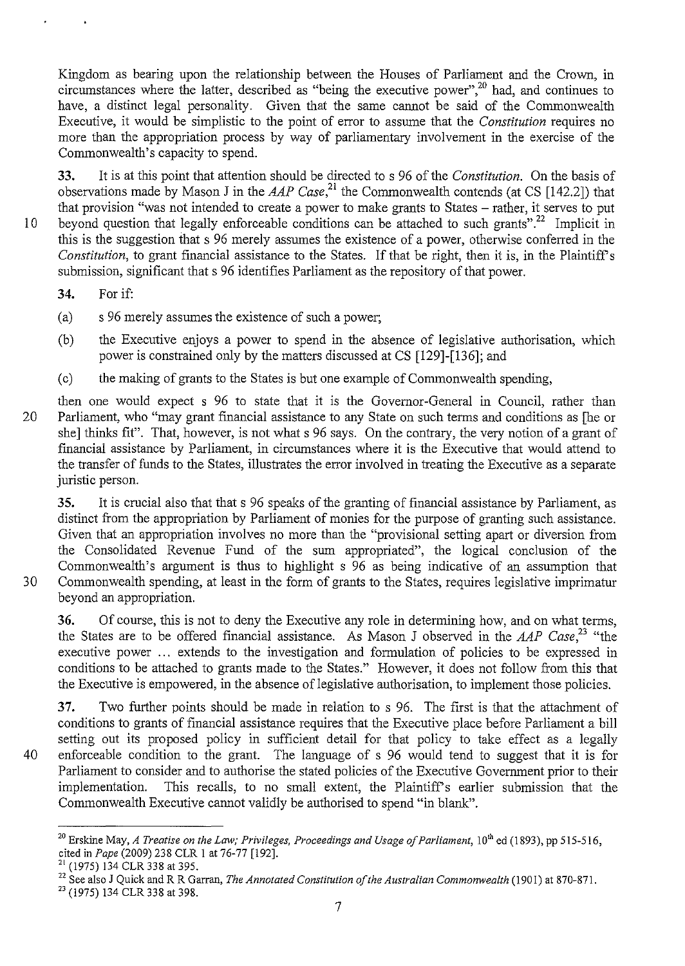Kingdom as bearing upon the relationship between the Houses of Parliament and the Crown, in circumstances where the latter, described as "being the executive power",20 had, and continues to have, a distinct legal personality. Given that the same cannot be said of the Commonwealth Executive, it would be simplistic to the point of error to assume that the *Constitution* requires no more than the appropriation process by way of parliamentary involvement in the exercise of the Commonwealth's capacity to spend.

33. It is at this point that attention should be directed to s 96 of the *Constitution.* On the basis of observations made by Mason J in the  $AAP$  Case,<sup>21</sup> the Commonwealth contends (at CS [142.2]) that that provision "was not intended to create a power to make grants to States - rather, it serves to put 10 beyond question that legally enforceable conditions can be attached to such grants".<sup>22</sup> Implicit in this is the suggestion that s 96 merely assumes the existence of a power, otherwise conferred in the *Constitution*, to grant financial assistance to the States. If that be right, then it is, in the Plaintiff's submission, significant that s 96 identifies Parliament as the repository of that power.

34. For if:

- (a) s 96 merely assumes the existence of such a power;
- (b) the Executive enjoys a power to spend in the absence of legislative authorisation, which power is constrained only by the matters discussed at CS [129]-[136]; and
- (c) the making of grants to the States is but one example of Commonwealth spending,
- then one would expect s 96 to state that it is the Governor-General in Council, rather than 20 Parliament, who "may grant fmancial assistance to any State on such terms and conditions as [he or she] thinks fit". That, however, is not what s 96 says. On the contrary, the very notion of a grant of financial assistance by Parliament, in circumstances where it is the Executive that would attend to the transfer of funds to the States, illustrates the error involved in treating the Executive as a separate juristic person.

35. It is crucial also that that s 96 speaks of the granting of financial assistance by Parliament, as distinct from the appropriation by Parliament of monies for the purpose of granting such assistance. Given that an appropriation involves no more than the "provisional setting apart or diversion from the Consolidated Revenue Fund of the sum appropriated", the logical conclusion of the Commonwealth's argument is thus to highlight s 96 as being indicative of an assumption that 30 Commonwealth spending, at least in the form of grants to the States, requires legislative imprimatur beyond an appropriation.

36. Of course, this is not to deny the Executive any role in determining how, and on what terms, the States are to be offered financial assistance. As Mason J observed in the  $AAP$  Case,<sup>23</sup> "the executive power ... extends to the investigation and formulation of policies to be expressed in conditions to be attached to grants made to the States." However, it does not follow from this that the Executive is empowered, in the absence of legislative authorisation, to implement those policies.

37. Two further points should be made in relation to s 96. The first is that the attachment of conditions to grants of financial assistance requires that the Executive place before Parliament a bill setting out its proposed policy in sufficient detail for that policy to take effect as a legally 40 enforceable condition to the grant. The language of s 96 would tend to suggest that it is for Parliament to consider and to authorise the stated policies of the Executive Government prior to their implementation. This recalls, to no small extent, the Plaintiff's earlier submission that the Commonwealth Executive cannot validly be authorised to spend "in blank".

<sup>&</sup>lt;sup>20</sup> Erskine May, *A Treatise on the Law; Privileges, Proceedings and Usage of Parliament*, 10<sup>th</sup> ed (1893), pp 515-516, cited in *Pape* (2009) 238 CLR I at 76-77 [192].

<sup>22</sup> See also J Quick and R R Garran, *The Annotated Constitution of the Australian Commonwealth* (1901) at 870-871.<br><sup>23</sup> (1975) 134 CLR 338 at 398.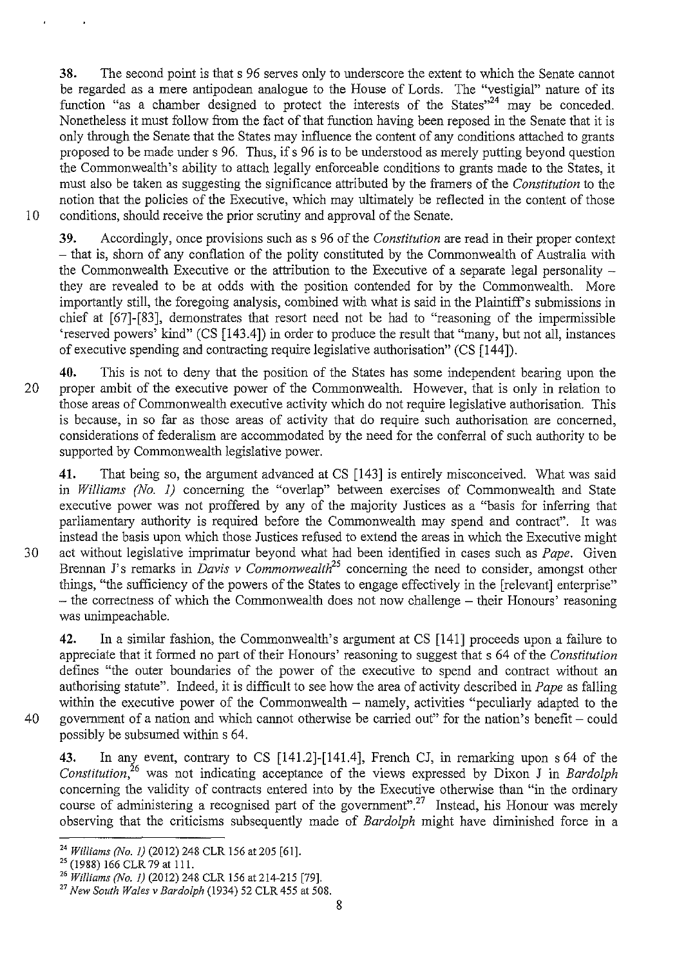38. The second point is that s 96 serves only to underscore the extent to which the Senate cannot be regarded as a mere antipodean analogue to the House of Lords. The "vestigial" nature of its function "as a chamber designed to protect the interests of the States"<sup>24</sup> may be conceded. Nonetheless it must follow from the fact of that function having been reposed in the Senate that it is only through the Senate that the States may influence the content of any conditions attached to grants proposed to be made under s 96. Thus, if s 96 is to be understood as merely putting beyond question the Commonwealth's ability to attach legally enforceable conditions to grants made to the States, it must also be taken as suggesting the significance attributed by the framers of the *Constitution* to the notion that the policies of the Executive, which may ultimately be reflected in the content of those 10 conditions, should receive the prior scrutiny and approval of the Senate.

39. Accordingly, once provisions such as s 96 of the *Constitution* are read in their proper context - that is, shorn of any conflation of the polity constituted by the Commonwealth of Australia with the Commonwealth Executive or the attribution to the Executive of a separate legal personality – they are revealed to be at odds with the position contended for by the Commonwealth. More importantly still, the foregoing analysis, combined with what is said in the Plaintiff's submissions in chief at [67]-[83], demonstrates that resort need not be had to "reasoning of the impermissible 'reserved powers' kind" (CS [143.4]) in order to produce the result that "many, but not all, instances of executive spending and contracting require legislative authorisation" (CS [144]).

40. This is not to deny that the position of the States has some independent bearing upon the 20 proper ambit of the executive power of the Commonwealth. However, that is only in relation to those areas of Commonwealth executive activity which do not require legislative authorisation. This is because, in so far as those areas of activity that do require such authorisation are concerned, considerations of federalism are accommodated by the need for the conferral of such authority to be supported by Commonwealth legislative power.

41. That being so, the argument advanced at CS [143] is entirely misconceived. What was said in *Williams (No. 1)* concerning the "overlap" between exercises of Commonwealth and State executive power was not proffered by any of the majority Justices as a "basis for inferring that parliamentary authority is required before the Commonwealth may spend and contract". It was instead the basis upon which those Justices refused to extend the areas in which the Executive might 30 act without legislative imprimatur beyond what had been identified in cases such as *Pape.* Given Brennan J's remarks in *Davis v Commonwealth*<sup>25</sup> concerning the need to consider, amongst other things, "the sufficiency of the powers of the States to engage effectively in the [relevant] enterprise" - the correctness of which the Commonwealth does not now challenge - their Honours' reasoning was unimpeachable.

42. In a similar fashion, the Commonwealth's argument at CS [141] proceeds upon a failure to appreciate that it formed no part of their Honours' reasoning to suggest that s 64 of the *Constitution*  defines "the outer boundaries of the power of the executive to spend and contract without an authorising statute". Indeed, it is difficult to see how the area of activity described in *Pape* as falling within the executive power of the Commonwealth  $-$  namely, activities "peculiarly adapted to the 40 government of a nation and which cannot otherwise be carried out" for the nation's benefit- could possibly be subsumed within s 64.

43. In any event, contrary to CS [141.2]-[141.4], French CJ, in remarking upon s 64 of the *Constitution,<sup>26</sup>*was not indicating acceptance of the views expressed by Dixon J in *Bardolph*  concerning the validity of contracts entered into by the Executive otherwise than "in the ordinary course of administering a recognised part of the government".<sup>27</sup> Instead, his Honour was merely observing that the criticisms subsequently made of *Bardolph* might have diminished force in a

<sup>&</sup>lt;sup>24</sup> Williams (No. 1) (2012) 248 CLR 156 at 205 [61].<br><sup>25</sup> (1988) 166 CLR 79 at 111.

<sup>26</sup>*Williams (No. I)* (2012) 248 CLR 156 at 214-215 [79].

<sup>27</sup>*New South Wales v Bardolph* (1934) 52 CLR 455 at 508.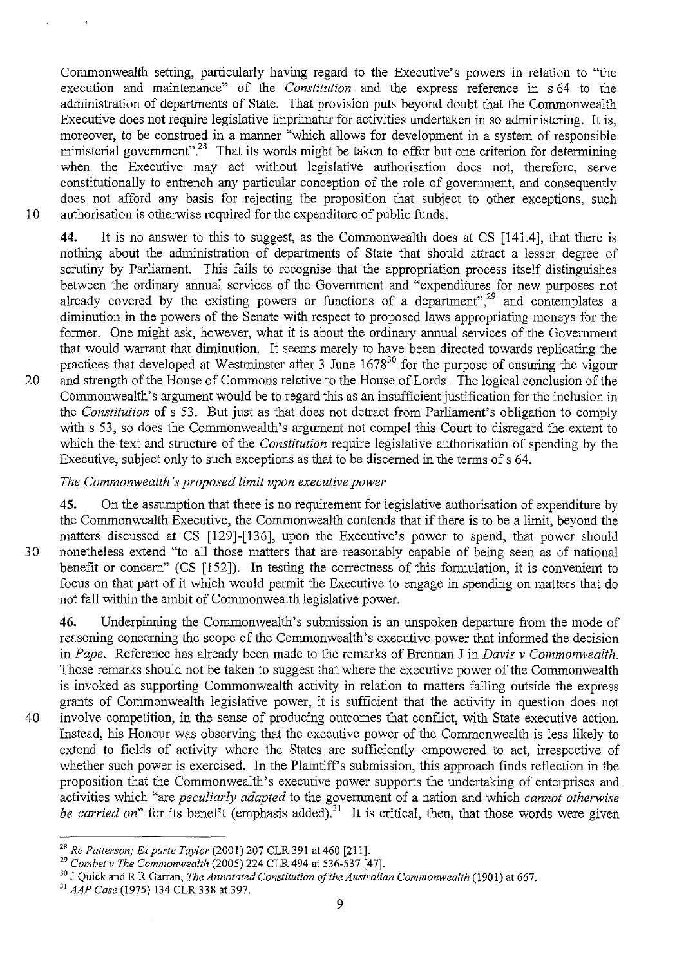Commonwealth setting, particularly having regard to the Executive's powers in relation to "the execution and maintenance" of the *Constitution* and the express reference in s 64 to the administration of departments of State. That provision puts beyond doubt that the Commonwealth Executive does not require legislative imprimatur for activities undertaken in so administering. It is, moreover, to be construed in a manner "which allows for development in a system of responsible ministerial government".<sup>28</sup> That its words might be taken to offer but one criterion for determining when the Executive may act without legislative authorisation does not, therefore, serve constitutionally to entrench any particular conception of the role of government, and consequently does not afford any basis for rejecting the proposition that subject to other exceptions, such 10 authorisation is otherwise required for the expenditure of public funds.

 $\epsilon$ 

44. It is no answer to this to suggest, as the Commonwealth does at CS [141.4], that there is nothing about the administration of departments of State that should attract a lesser degree of scrutiny by Parliament. This fails to recognise that the appropriation process itself distinguishes between the ordinary annual services of the Government and "expenditures for new purposes not already covered by the existing powers or functions of a department",<sup>29</sup> and contemplates a diminution in the powers of the Senate with respect to proposed laws appropriating moneys for the former. One might ask, however, what it is about the ordinary annual services of the Government that would warrant that diminution. It seems merely to have been directed towards replicating the practices that developed at Westminster after 3 June 167830 for the purpose of ensuring the vigour 20 and strength of the House of Commons relative to the House of Lords. The logical conclusion of the Commonwealth's argument would be to regard this as an insufficient justification for the inclusion in the *Constitution* of s 53. But just as that does not detract from Parliament's obligation to comply with s 53, so does the Commonwealth's argument not compel this Court to disregard the extent to which the text and structure of the *Constitution* require legislative authorisation of spending by the Executive, subject only to such exceptions as that to be discerned in the terms of s 64.

# *The Commonwealth's proposed limit upon executive power*

45. On the assumption that there is no requirement for legislative authorisation of expenditure by the Commonwealth Executive, the Commonwealth contends that if there is to be a limit, beyond the matters discussed at CS [129]-[136], upon the Executive's power to spend, that power should 30 nonetheless extend "to all those matters that are reasonably capable of being seen as of national benefit or concern" (CS [152]). In testing the correctness of this formulation, it is convenient to focus on that part of it which would permit the Executive to engage in spending on matters that do not fall within the ambit of Commonwealth legislative power.

46. Underpinning the Commonwealth's submission is an unspoken departure from the mode of reasoning concerning the scope of the Commonwealth's executive power that informed the decision in *Pape.* Reference has already been made to the remarks of Brennan J in *Davis v Commonwealth.*  Those remarks should not be taken to suggest that where the executive power of the Commonwealth is invoked as supporting Commonwealth activity in relation to matters falling outside the express grants of Commonwealth legislative power, it is sufficient that the activity in question does not 40 involve competition, in the sense of producing outcomes that conflict, with State executive action. Instead, his Honour was observing that the executive power of the Commonwealth is less likely to extend to fields of activity where the States are sufficiently empowered to act, irrespective of whether such power is exercised. In the Plaintiff's submission, this approach finds reflection in the proposition that the Commonwealth's executive power supports the undertaking of enterprises and activities which "are *peculiarly adapted* to the government of a nation and which *cannot otherwise be carried on*" for its benefit (emphasis added).<sup>31</sup> It is critical, then, that those words were given

<sup>&</sup>lt;sup>28</sup> Re Patterson; Ex parte Taylor (2001) 207 CLR 391 at 460 [211].<br><sup>29</sup> Combet v The Commonwealth (2005) 224 CLR 494 at 536-537 [47].<br><sup>30</sup> J Quick and R R Garran, *The Annotated Constitution of the Australian Commonwealt*